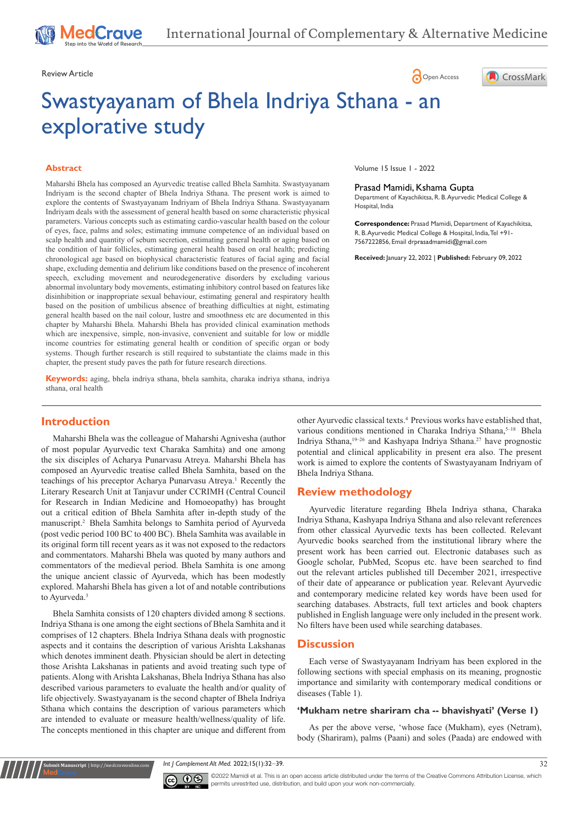# Review Article **Contracts** Contracts and Contracts Contracts Contracts Contracts Contracts Contracts Contracts Contracts Contracts Contracts Contracts Contracts Contracts Contracts Contracts Contracts Contracts Contracts C

# Swastyayanam of Bhela Indriya Sthana - an explorative study

#### **Abstract**

Maharshi Bhela has composed an Ayurvedic treatise called Bhela Samhita. Swastyayanam Indriyam is the second chapter of Bhela Indriya Sthana. The present work is aimed to explore the contents of Swastyayanam Indriyam of Bhela Indriya Sthana. Swastyayanam Indriyam deals with the assessment of general health based on some characteristic physical parameters. Various concepts such as estimating cardio-vascular health based on the colour of eyes, face, palms and soles; estimating immune competence of an individual based on scalp health and quantity of sebum secretion, estimating general health or aging based on the condition of hair follicles, estimating general health based on oral health; predicting chronological age based on biophysical characteristic features of facial aging and facial shape, excluding dementia and delirium like conditions based on the presence of incoherent speech, excluding movement and neurodegenerative disorders by excluding various abnormal involuntary body movements, estimating inhibitory control based on features like disinhibition or inappropriate sexual behaviour, estimating general and respiratory health based on the position of umbilicus absence of breathing difficulties at night, estimating general health based on the nail colour, lustre and smoothness etc are documented in this chapter by Maharshi Bhela. Maharshi Bhela has provided clinical examination methods which are inexpensive, simple, non-invasive, convenient and suitable for low or middle income countries for estimating general health or condition of specific organ or body systems. Though further research is still required to substantiate the claims made in this chapter, the present study paves the path for future research directions.

**Keywords:** aging, bhela indriya sthana, bhela samhita, charaka indriya sthana, indriya sthana, oral health

# **Introduction**

Maharshi Bhela was the colleague of Maharshi Agnivesha (author of most popular Ayurvedic text Charaka Samhita) and one among the six disciples of Acharya Punarvasu Atreya. Maharshi Bhela has composed an Ayurvedic treatise called Bhela Samhita, based on the teachings of his preceptor Acharya Punarvasu Atreya.<sup>1</sup> Recently the Literary Research Unit at Tanjavur under CCRIMH (Central Council for Research in Indian Medicine and Homoeopathy) has brought out a critical edition of Bhela Samhita after in-depth study of the manuscript.2 Bhela Samhita belongs to Samhita period of Ayurveda (post vedic period 100 BC to 400 BC). Bhela Samhita was available in its original form till recent years as it was not exposed to the redactors and commentators. Maharshi Bhela was quoted by many authors and commentators of the medieval period. Bhela Samhita is one among the unique ancient classic of Ayurveda, which has been modestly explored. Maharshi Bhela has given a lot of and notable contributions to Ayurveda.<sup>3</sup>

Bhela Samhita consists of 120 chapters divided among 8 sections. Indriya Sthana is one among the eight sections of Bhela Samhita and it comprises of 12 chapters. Bhela Indriya Sthana deals with prognostic aspects and it contains the description of various Arishta Lakshanas which denotes imminent death. Physician should be alert in detecting those Arishta Lakshanas in patients and avoid treating such type of patients. Along with Arishta Lakshanas, Bhela Indriya Sthana has also described various parameters to evaluate the health and/or quality of life objectively. Swastyayanam is the second chapter of Bhela Indriya Sthana which contains the description of various parameters which are intended to evaluate or measure health/wellness/quality of life. The concepts mentioned in this chapter are unique and different from

**nit Manuscript** | http://medcraveonline.

Volume 15 Issue 1 - 2022

#### Prasad Mamidi, Kshama Gupta

Department of Kayachikitsa, R. B. Ayurvedic Medical College & Hospital, India

CrossMark

**Correspondence:** Prasad Mamidi, Department of Kayachikitsa, R. B. Ayurvedic Medical College & Hospital, India, Tel +91- 7567222856, Email drprasadmamidi@gmail.com

**Received:** January 22, 2022 | **Published:** February 09, 2022

other Ayurvedic classical texts.4 Previous works have established that, various conditions mentioned in Charaka Indriya Sthana,<sup>5-18</sup> Bhela Indriya Sthana,19–26 and Kashyapa Indriya Sthana.27 have prognostic potential and clinical applicability in present era also. The present work is aimed to explore the contents of Swastyayanam Indriyam of Bhela Indriya Sthana.

# **Review methodology**

Ayurvedic literature regarding Bhela Indriya sthana, Charaka Indriya Sthana, Kashyapa Indriya Sthana and also relevant references from other classical Ayurvedic texts has been collected. Relevant Ayurvedic books searched from the institutional library where the present work has been carried out. Electronic databases such as Google scholar, PubMed, Scopus etc. have been searched to find out the relevant articles published till December 2021, irrespective of their date of appearance or publication year. Relevant Ayurvedic and contemporary medicine related key words have been used for searching databases. Abstracts, full text articles and book chapters published in English language were only included in the present work. No filters have been used while searching databases.

# **Discussion**

Each verse of Swastyayanam Indriyam has been explored in the following sections with special emphasis on its meaning, prognostic importance and similarity with contemporary medical conditions or diseases (Table 1).

## **'Mukham netre shariram cha -- bhavishyati' (Verse 1)**

As per the above verse, 'whose face (Mukham), eyes (Netram), body (Shariram), palms (Paani) and soles (Paada) are endowed with

*Int J Complement Alt Med.* 2022;15(1):32‒39. 32



©2022 Mamidi et al. This is an open access article distributed under the terms of the Creative Commons Attribution License, which permits unrestrited use, distribution, and build upon your work non-commercially.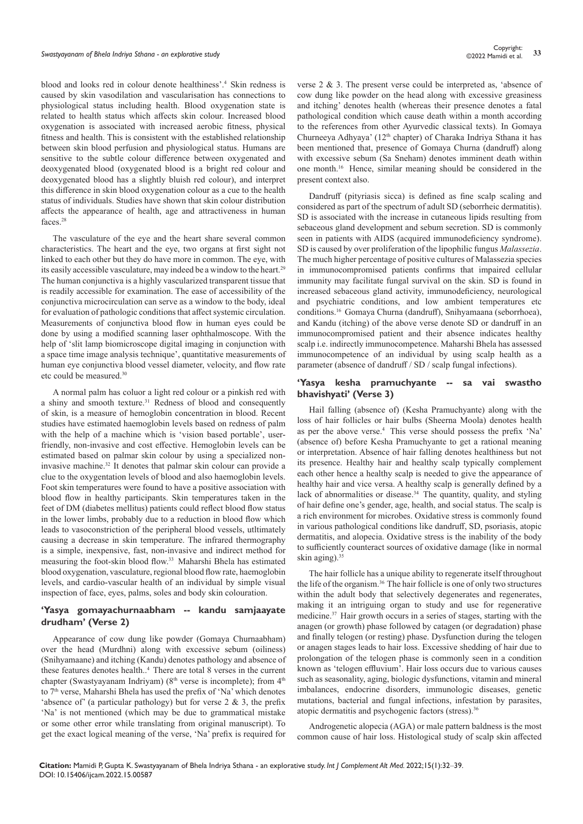blood and looks red in colour denote healthiness'.4 Skin redness is caused by skin vasodilation and vascularisation has connections to physiological status including health. Blood oxygenation state is related to health status which affects skin colour. Increased blood oxygenation is associated with increased aerobic fitness, physical fitness and health. This is consistent with the established relationship between skin blood perfusion and physiological status. Humans are sensitive to the subtle colour difference between oxygenated and deoxygenated blood (oxygenated blood is a bright red colour and deoxygenated blood has a slightly bluish red colour), and interpret this difference in skin blood oxygenation colour as a cue to the health status of individuals. Studies have shown that skin colour distribution affects the appearance of health, age and attractiveness in human faces.28

The vasculature of the eye and the heart share several common characteristics. The heart and the eye, two organs at first sight not linked to each other but they do have more in common. The eye, with its easily accessible vasculature, may indeed be a window to the heart.<sup>29</sup> The human conjunctiva is a highly vascularized transparent tissue that is readily accessible for examination. The ease of accessibility of the conjunctiva microcirculation can serve as a window to the body, ideal for evaluation of pathologic conditions that affect systemic circulation. Measurements of conjunctiva blood flow in human eyes could be done by using a modified scanning laser ophthalmoscope. With the help of 'slit lamp biomicroscope digital imaging in conjunction with a space time image analysis technique', quantitative measurements of human eye conjunctiva blood vessel diameter, velocity, and flow rate etc could be measured.30

A normal palm has coluor a light red colour or a pinkish red with a shiny and smooth texture.<sup>31</sup> Redness of blood and consequently of skin, is a measure of hemoglobin concentration in blood. Recent studies have estimated haemoglobin levels based on redness of palm with the help of a machine which is 'vision based portable', userfriendly, non-invasive and cost effective. Hemoglobin levels can be estimated based on palmar skin colour by using a specialized noninvasive machine.32 It denotes that palmar skin colour can provide a clue to the oxygentation levels of blood and also haemoglobin levels. Foot skin temperatures were found to have a positive association with blood flow in healthy participants. Skin temperatures taken in the feet of DM (diabetes mellitus) patients could reflect blood flow status in the lower limbs, probably due to a reduction in blood flow which leads to vasoconstriction of the peripheral blood vessels, utltimately causing a decrease in skin temperature. The infrared thermography is a simple, inexpensive, fast, non-invasive and indirect method for measuring the foot-skin blood flow.33 Maharshi Bhela has estimated blood oxygenation, vasculature, regional blood flow rate, haemoglobin levels, and cardio-vascular health of an individual by simple visual inspection of face, eyes, palms, soles and body skin colouration.

# **'Yasya gomayachurnaabham -- kandu samjaayate drudham' (Verse 2)**

Appearance of cow dung like powder (Gomaya Churnaabham) over the head (Murdhni) along with excessive sebum (oiliness) (Snihyamaane) and itching (Kandu) denotes pathology and absence of these features denotes health..4 There are total 8 verses in the current chapter (Swastyayanam Indriyam) ( $8<sup>th</sup>$  verse is incomplete); from  $4<sup>th</sup>$ to 7<sup>th</sup> verse, Maharshi Bhela has used the prefix of 'Na' which denotes 'absence of' (a particular pathology) but for verse 2 & 3, the prefix 'Na' is not mentioned (which may be due to grammatical mistake or some other error while translating from original manuscript). To get the exact logical meaning of the verse, 'Na' prefix is required for verse 2 & 3. The present verse could be interpreted as, 'absence of cow dung like powder on the head along with excessive greasiness and itching' denotes health (whereas their presence denotes a fatal pathological condition which cause death within a month according to the references from other Ayurvedic classical texts). In Gomaya Churneeya Adhyaya' ( $12<sup>th</sup>$  chapter) of Charaka Indriya Sthana it has been mentioned that, presence of Gomaya Churna (dandruff) along with excessive sebum (Sa Sneham) denotes imminent death within one month.16 Hence, similar meaning should be considered in the present context also.

Dandruff (pityriasis sicca) is defined as fine scalp scaling and considered as part of the spectrum of adult SD (seborrheic dermatitis). SD is associated with the increase in cutaneous lipids resulting from sebaceous gland development and sebum secretion. SD is commonly seen in patients with AIDS (acquired immunodeficiency syndrome). SD is caused by over proliferation of the lipophilic fungus *Malassezia*. The much higher percentage of positive cultures of Malassezia species in immunocompromised patients confirms that impaired cellular immunity may facilitate fungal survival on the skin. SD is found in increased sebaceous gland activity, immunodeficiency, neurological and psychiatric conditions, and low ambient temperatures etc conditions.16 Gomaya Churna (dandruff), Snihyamaana (seborrhoea), and Kandu (itching) of the above verse denote SD or dandruff in an immunocompromised patient and their absence indicates healthy scalp i.e. indirectly immunocompetence. Maharshi Bhela has assessed immunocompetence of an individual by using scalp health as a parameter (absence of dandruff / SD / scalp fungal infections).

## **'Yasya kesha pramuchyante -- sa vai swastho bhavishyati' (Verse 3)**

Hail falling (absence of) (Kesha Pramuchyante) along with the loss of hair follicles or hair bulbs (Sheerna Moola) denotes health as per the above verse.4 This verse should possess the prefix 'Na' (absence of) before Kesha Pramuchyante to get a rational meaning or interpretation. Absence of hair falling denotes healthiness but not its presence. Healthy hair and healthy scalp typically complement each other hence a healthy scalp is needed to give the appearance of healthy hair and vice versa. A healthy scalp is generally defined by a lack of abnormalities or disease.<sup>34</sup> The quantity, quality, and styling of hair define one's gender, age, health, and social status. The scalp is a rich environment for microbes. Oxidative stress is commonly found in various pathological conditions like dandruff, SD, psoriasis, atopic dermatitis, and alopecia. Oxidative stress is the inability of the body to sufficiently counteract sources of oxidative damage (like in normal skin aging).<sup>35</sup>

The hair follicle has a unique ability to regenerate itself throughout the life of the organism.36 The hair follicle is one of only two structures within the adult body that selectively degenerates and regenerates, making it an intriguing organ to study and use for regenerative medicine.37 Hair growth occurs in a series of stages, starting with the anagen (or growth) phase followed by catagen (or degradation) phase and finally telogen (or resting) phase. Dysfunction during the telogen or anagen stages leads to hair loss. Excessive shedding of hair due to prolongation of the telogen phase is commonly seen in a condition known as 'telogen effluvium'. Hair loss occurs due to various causes such as seasonality, aging, biologic dysfunctions, vitamin and mineral imbalances, endocrine disorders, immunologic diseases, genetic mutations, bacterial and fungal infections, infestation by parasites, atopic dermatitis and psychogenic factors (stress).<sup>36</sup>

Androgenetic alopecia (AGA) or male pattern baldness is the most common cause of hair loss. Histological study of scalp skin affected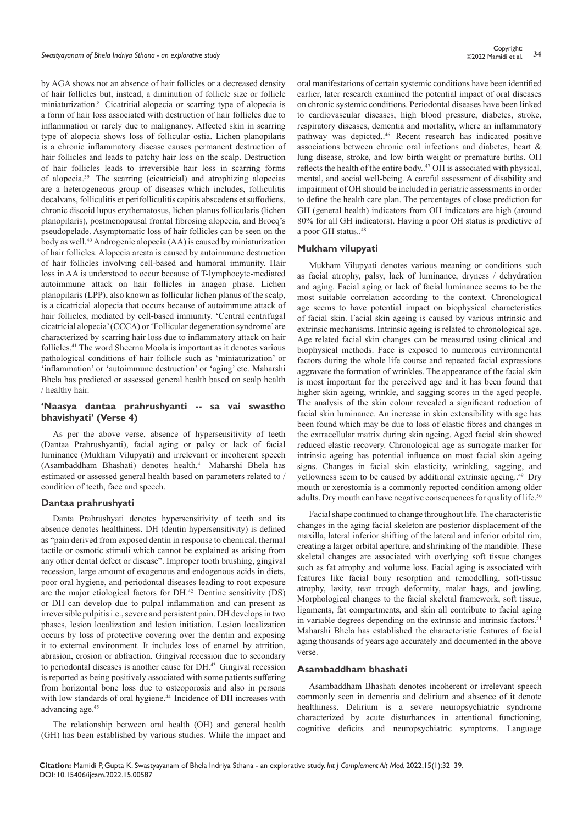by AGA shows not an absence of hair follicles or a decreased density of hair follicles but, instead, a diminution of follicle size or follicle miniaturization.8 Cicatritial alopecia or scarring type of alopecia is a form of hair loss associated with destruction of hair follicles due to inflammation or rarely due to malignancy. Affected skin in scarring type of alopecia shows loss of follicular ostia. Lichen planopilaris is a chronic inflammatory disease causes permanent destruction of hair follicles and leads to patchy hair loss on the scalp. Destruction of hair follicles leads to irreversible hair loss in scarring forms of alopecia.39 The scarring (cicatricial) and atrophizing alopecias are a heterogeneous group of diseases which includes, folliculitis decalvans, folliculitis et perifolliculitis capitis abscedens et suffodiens, chronic discoid lupus erythematosus, lichen planus follicularis (lichen planopilaris), postmenopausal frontal fibrosing alopecia, and Brocq's pseudopelade. Asymptomatic loss of hair follicles can be seen on the body as well.<sup>40</sup> Androgenic alopecia (AA) is caused by miniaturization of hair follicles. Alopecia areata is caused by autoimmune destruction of hair follicles involving cell-based and humoral immunity. Hair loss in AA is understood to occur because of T-lymphocyte-mediated autoimmune attack on hair follicles in anagen phase. Lichen planopilaris (LPP), also known as follicular lichen planus of the scalp, is a cicatricial alopecia that occurs because of autoimmune attack of hair follicles, mediated by cell-based immunity. 'Central centrifugal cicatricial alopecia' (CCCA) or 'Follicular degeneration syndrome' are characterized by scarring hair loss due to inflammatory attack on hair follicles.41 The word Sheerna Moola is important as it denotes various pathological conditions of hair follicle such as 'miniaturization' or 'inflammation' or 'autoimmune destruction' or 'aging' etc. Maharshi Bhela has predicted or assessed general health based on scalp health / healthy hair.

## **'Naasya dantaa prahrushyanti -- sa vai swastho bhavishyati' (Verse 4)**

As per the above verse, absence of hypersensitivity of teeth (Dantaa Prahrushyanti), facial aging or palsy or lack of facial luminance (Mukham Vilupyati) and irrelevant or incoherent speech (Asambaddham Bhashati) denotes health.4 Maharshi Bhela has estimated or assessed general health based on parameters related to / condition of teeth, face and speech.

#### **Dantaa prahrushyati**

Danta Prahrushyati denotes hypersensitivity of teeth and its absence denotes healthiness. DH (dentin hypersensitivity) is defined as "pain derived from exposed dentin in response to chemical, thermal tactile or osmotic stimuli which cannot be explained as arising from any other dental defect or disease". Improper tooth brushing, gingival recession, large amount of exogenous and endogenous acids in diets, poor oral hygiene, and periodontal diseases leading to root exposure are the major etiological factors for DH.42 Dentine sensitivity (DS) or DH can develop due to pulpal inflammation and can present as irreversible pulpitis i.e., severe and persistent pain. DH develops in two phases, lesion localization and lesion initiation. Lesion localization occurs by loss of protective covering over the dentin and exposing it to external environment. It includes loss of enamel by attrition, abrasion, erosion or abfraction. Gingival recession due to secondary to periodontal diseases is another cause for DH.<sup>43</sup> Gingival recession is reported as being positively associated with some patients suffering from horizontal bone loss due to osteoporosis and also in persons with low standards of oral hygiene.<sup>44</sup> Incidence of DH increases with advancing age.<sup>45</sup>

The relationship between oral health (OH) and general health (GH) has been established by various studies. While the impact and oral manifestations of certain systemic conditions have been identified earlier, later research examined the potential impact of oral diseases on chronic systemic conditions. Periodontal diseases have been linked to cardiovascular diseases, high blood pressure, diabetes, stroke, respiratory diseases, dementia and mortality, where an inflammatory pathway was depicted..46 Recent research has indicated positive associations between chronic oral infections and diabetes, heart & lung disease, stroke, and low birth weight or premature births. OH reflects the health of the entire body..<sup>47</sup> OH is associated with physical, mental, and social well-being. A careful assessment of disability and impairment of OH should be included in geriatric assessments in order to define the health care plan. The percentages of close prediction for GH (general health) indicators from OH indicators are high (around 80% for all GH indicators). Having a poor OH status is predictive of a poor GH status..48

#### **Mukham vilupyati**

Mukham Vilupyati denotes various meaning or conditions such as facial atrophy, palsy, lack of luminance, dryness / dehydration and aging. Facial aging or lack of facial luminance seems to be the most suitable correlation according to the context. Chronological age seems to have potential impact on biophysical characteristics of facial skin. Facial skin ageing is caused by various intrinsic and extrinsic mechanisms. Intrinsic ageing is related to chronological age. Age related facial skin changes can be measured using clinical and biophysical methods. Face is exposed to numerous environmental factors during the whole life course and repeated facial expressions aggravate the formation of wrinkles. The appearance of the facial skin is most important for the perceived age and it has been found that higher skin ageing, wrinkle, and sagging scores in the aged people. The analysis of the skin colour revealed a significant reduction of facial skin luminance. An increase in skin extensibility with age has been found which may be due to loss of elastic fibres and changes in the extracellular matrix during skin ageing. Aged facial skin showed reduced elastic recovery. Chronological age as surrogate marker for intrinsic ageing has potential influence on most facial skin ageing signs. Changes in facial skin elasticity, wrinkling, sagging, and yellowness seem to be caused by additional extrinsic ageing..<sup>49</sup> Dry mouth or xerostomia is a commonly reported condition among older adults. Dry mouth can have negative consequences for quality of life.<sup>50</sup>

Facial shape continued to change throughout life. The characteristic changes in the aging facial skeleton are posterior displacement of the maxilla, lateral inferior shifting of the lateral and inferior orbital rim, creating a larger orbital aperture, and shrinking of the mandible. These skeletal changes are associated with overlying soft tissue changes such as fat atrophy and volume loss. Facial aging is associated with features like facial bony resorption and remodelling, soft-tissue atrophy, laxity, tear trough deformity, malar bags, and jowling. Morphological changes to the facial skeletal framework, soft tissue, ligaments, fat compartments, and skin all contribute to facial aging in variable degrees depending on the extrinsic and intrinsic factors.<sup>51</sup> Maharshi Bhela has established the characteristic features of facial aging thousands of years ago accurately and documented in the above verse.

#### **Asambaddham bhashati**

Asambaddham Bhashati denotes incoherent or irrelevant speech commonly seen in dementia and delirium and absence of it denote healthiness. Delirium is a severe neuropsychiatric syndrome characterized by acute disturbances in attentional functioning, cognitive deficits and neuropsychiatric symptoms. Language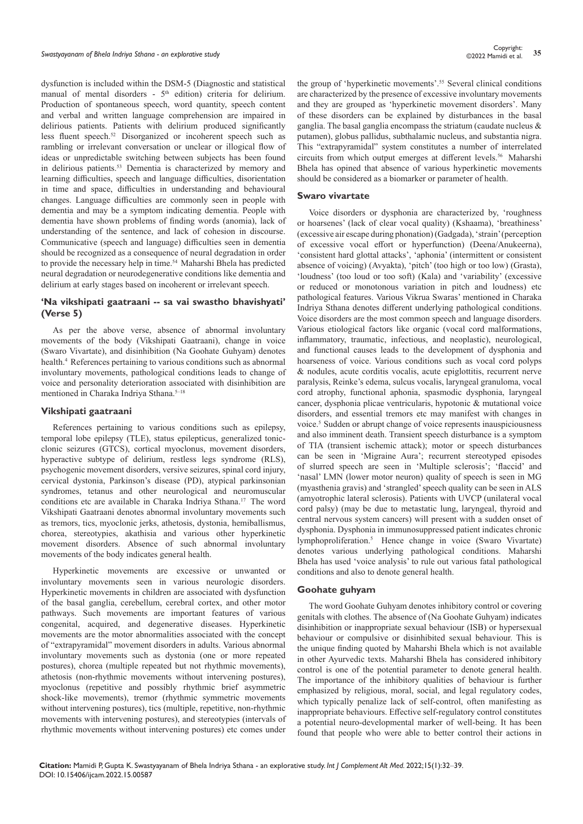dysfunction is included within the DSM-5 (Diagnostic and statistical manual of mental disorders -  $5<sup>th</sup>$  edition) criteria for delirium. Production of spontaneous speech, word quantity, speech content and verbal and written language comprehension are impaired in delirious patients. Patients with delirium produced significantly less fluent speech.52 Disorganized or incoherent speech such as rambling or irrelevant conversation or unclear or illogical flow of ideas or unpredictable switching between subjects has been found in delirious patients.<sup>53</sup> Dementia is characterized by memory and learning difficulties, speech and language difficulties, disorientation in time and space, difficulties in understanding and behavioural changes. Language difficulties are commonly seen in people with dementia and may be a symptom indicating dementia. People with dementia have shown problems of finding words (anomia), lack of understanding of the sentence, and lack of cohesion in discourse. Communicative (speech and language) difficulties seen in dementia should be recognized as a consequence of neural degradation in order to provide the necessary help in time.<sup>54</sup> Maharshi Bhela has predicted neural degradation or neurodegenerative conditions like dementia and delirium at early stages based on incoherent or irrelevant speech.

## **'Na vikshipati gaatraani -- sa vai swastho bhavishyati' (Verse 5)**

As per the above verse, absence of abnormal involuntary movements of the body (Vikshipati Gaatraani), change in voice (Swaro Vivartate), and disinhibition (Na Goohate Guhyam) denotes health.4 References pertaining to various conditions such as abnormal involuntary movements, pathological conditions leads to change of voice and personality deterioration associated with disinhibition are mentioned in Charaka Indriya Sthana.<sup>5-18</sup>

#### **Vikshipati gaatraani**

References pertaining to various conditions such as epilepsy, temporal lobe epilepsy (TLE), status epilepticus, generalized tonicclonic seizures (GTCS), cortical myoclonus, movement disorders, hyperactive subtype of delirium, restless legs syndrome (RLS), psychogenic movement disorders, versive seizures, spinal cord injury, cervical dystonia, Parkinson's disease (PD), atypical parkinsonian syndromes, tetanus and other neurological and neuromuscular conditions etc are available in Charaka Indriya Sthana.17 The word Vikshipati Gaatraani denotes abnormal involuntary movements such as tremors, tics, myoclonic jerks, athetosis, dystonia, hemiballismus, chorea, stereotypies, akathisia and various other hyperkinetic movement disorders. Absence of such abnormal involuntary movements of the body indicates general health.

Hyperkinetic movements are excessive or unwanted or involuntary movements seen in various neurologic disorders. Hyperkinetic movements in children are associated with dysfunction of the basal ganglia, cerebellum, cerebral cortex, and other motor pathways. Such movements are important features of various congenital, acquired, and degenerative diseases. Hyperkinetic movements are the motor abnormalities associated with the concept of "extrapyramidal" movement disorders in adults. Various abnormal involuntary movements such as dystonia (one or more repeated postures), chorea (multiple repeated but not rhythmic movements), athetosis (non-rhythmic movements without intervening postures), myoclonus (repetitive and possibly rhythmic brief asymmetric shock-like movements), tremor (rhythmic symmetric movements without intervening postures), tics (multiple, repetitive, non-rhythmic movements with intervening postures), and stereotypies (intervals of rhythmic movements without intervening postures) etc comes under the group of 'hyperkinetic movements'.<sup>55</sup> Several clinical conditions are characterized by the presence of excessive involuntary movements and they are grouped as 'hyperkinetic movement disorders'. Many of these disorders can be explained by disturbances in the basal ganglia. The basal ganglia encompass the striatum (caudate nucleus & putamen), globus pallidus, subthalamic nucleus, and substantia nigra. This "extrapyramidal" system constitutes a number of interrelated circuits from which output emerges at different levels.<sup>56</sup> Maharshi Bhela has opined that absence of various hyperkinetic movements should be considered as a biomarker or parameter of health.

#### **Swaro vivartate**

Voice disorders or dysphonia are characterized by, 'roughness or hoarsenes' (lack of clear vocal quality) (Kshaama), 'breathiness' (excessive air escape during phonation) (Gadgada), 'strain' (perception of excessive vocal effort or hyperfunction) (Deena/Anukeerna), 'consistent hard glottal attacks', 'aphonia' (intermittent or consistent absence of voicing) (Avyakta), 'pitch' (too high or too low) (Grasta), 'loudness' (too loud or too soft) (Kala) and 'variability' (excessive or reduced or monotonous variation in pitch and loudness) etc pathological features. Various Vikrua Swaras' mentioned in Charaka Indriya Sthana denotes different underlying pathological conditions. Voice disorders are the most common speech and language disorders. Various etiological factors like organic (vocal cord malformations, inflammatory, traumatic, infectious, and neoplastic), neurological, and functional causes leads to the development of dysphonia and hoarseness of voice. Various conditions such as vocal cord polyps & nodules, acute corditis vocalis, acute epiglottitis, recurrent nerve paralysis, Reinke's edema, sulcus vocalis, laryngeal granuloma, vocal cord atrophy, functional aphonia, spasmodic dysphonia, laryngeal cancer, dysphonia plicae ventricularis, hypotonic & mutational voice disorders, and essential tremors etc may manifest with changes in voice.5 Sudden or abrupt change of voice represents inauspiciousness and also imminent death. Transient speech disturbance is a symptom of TIA (transient ischemic attack); motor or speech disturbances can be seen in 'Migraine Aura'; recurrent stereotyped episodes of slurred speech are seen in 'Multiple sclerosis'; 'flaccid' and 'nasal' LMN (lower motor neuron) quality of speech is seen in MG (myasthenia gravis) and 'strangled' speech quality can be seen in ALS (amyotrophic lateral sclerosis). Patients with UVCP (unilateral vocal cord palsy) (may be due to metastatic lung, laryngeal, thyroid and central nervous system cancers) will present with a sudden onset of dysphonia. Dysphonia in immunosuppressed patient indicates chronic lymphoproliferation.5 Hence change in voice (Swaro Vivartate) denotes various underlying pathological conditions. Maharshi Bhela has used 'voice analysis' to rule out various fatal pathological conditions and also to denote general health.

#### **Goohate guhyam**

The word Goohate Guhyam denotes inhibitory control or covering genitals with clothes. The absence of (Na Goohate Guhyam) indicates disinhibition or inappropriate sexual behaviour (ISB) or hypersexual behaviour or compulsive or disinhibited sexual behaviour. This is the unique finding quoted by Maharshi Bhela which is not available in other Ayurvedic texts. Maharshi Bhela has considered inhibitory control is one of the potential parameter to denote general health. The importance of the inhibitory qualities of behaviour is further emphasized by religious, moral, social, and legal regulatory codes, which typically penalize lack of self-control, often manifesting as inappropriate behaviours. Effective self-regulatory control constitutes a potential neuro-developmental marker of well-being. It has been found that people who were able to better control their actions in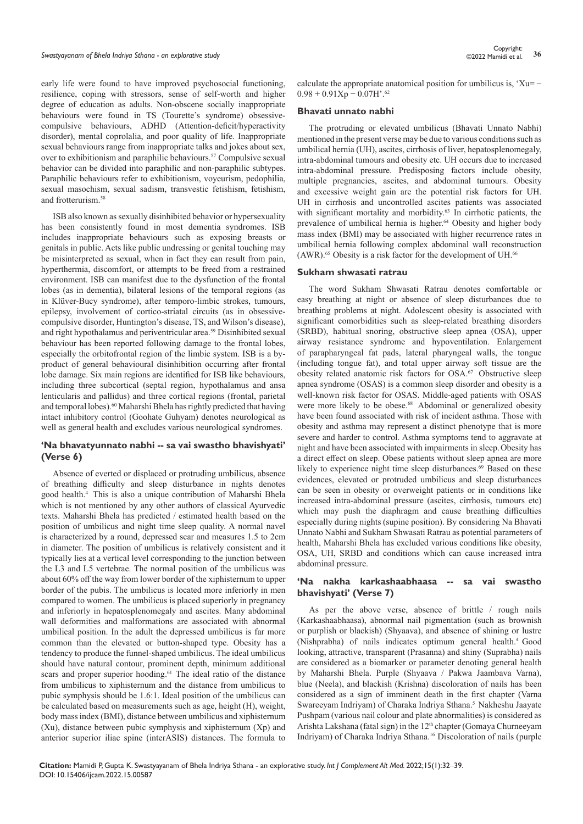early life were found to have improved psychosocial functioning, resilience, coping with stressors, sense of self-worth and higher degree of education as adults. Non-obscene socially inappropriate behaviours were found in TS (Tourette's syndrome) obsessivecompulsive behaviours, ADHD (Attention-deficit/hyperactivity disorder), mental coprolalia, and poor quality of life. Inappropriate sexual behaviours range from inappropriate talks and jokes about sex, over to exhibitionism and paraphilic behaviours.<sup>57</sup> Compulsive sexual behavior can be divided into paraphilic and non-paraphilic subtypes. Paraphilic behaviours refer to exhibitionism, voyeurism, pedophilia, sexual masochism, sexual sadism, transvestic fetishism, fetishism, and frotterurism.58

ISB also known as sexually disinhibited behavior or hypersexuality has been consistently found in most dementia syndromes. ISB includes inappropriate behaviours such as exposing breasts or genitals in public. Acts like public undressing or genital touching may be misinterpreted as sexual, when in fact they can result from pain, hyperthermia, discomfort, or attempts to be freed from a restrained environment. ISB can manifest due to the dysfunction of the frontal lobes (as in dementia), bilateral lesions of the temporal regions (as in Klüver-Bucy syndrome), after temporo-limbic strokes, tumours, epilepsy, involvement of cortico-striatal circuits (as in obsessivecompulsive disorder, Huntington's disease, TS, and Wilson's disease), and right hypothalamus and periventricular area.59 Disinhibited sexual behaviour has been reported following damage to the frontal lobes, especially the orbitofrontal region of the limbic system. ISB is a byproduct of general behavioural disinhibition occurring after frontal lobe damage. Six main regions are identified for ISB like behaviours, including three subcortical (septal region, hypothalamus and ansa lenticularis and pallidus) and three cortical regions (frontal, parietal and temporal lobes).60 Maharshi Bhela has rightly predicted that having intact inhibitory control (Goohate Guhyam) denotes neurological as well as general health and excludes various neurological syndromes.

## **'Na bhavatyunnato nabhi -- sa vai swastho bhavishyati' (Verse 6)**

Absence of everted or displaced or protruding umbilicus, absence of breathing difficulty and sleep disturbance in nights denotes good health.4 This is also a unique contribution of Maharshi Bhela which is not mentioned by any other authors of classical Ayurvedic texts. Maharshi Bhela has predicted / estimated health based on the position of umbilicus and night time sleep quality. A normal navel is characterized by a round, depressed scar and measures 1.5 to 2cm in diameter. The position of umbilicus is relatively consistent and it typically lies at a vertical level corresponding to the junction between the L3 and L5 vertebrae. The normal position of the umbilicus was about 60% off the way from lower border of the xiphisternum to upper border of the pubis. The umbilicus is located more inferiorly in men compared to women. The umbilicus is placed superiorly in pregnancy and inferiorly in hepatosplenomegaly and ascites. Many abdominal wall deformities and malformations are associated with abnormal umbilical position. In the adult the depressed umbilicus is far more common than the elevated or button-shaped type. Obesity has a tendency to produce the funnel-shaped umbilicus. The ideal umbilicus should have natural contour, prominent depth, minimum additional scars and proper superior hooding.<sup>61</sup> The ideal ratio of the distance from umbilicus to xiphisternum and the distance from umbilicus to pubic symphysis should be 1.6:1. Ideal position of the umbilicus can be calculated based on measurements such as age, height (H), weight, body mass index (BMI), distance between umbilicus and xiphisternum (Xu), distance between pubic symphysis and xiphisternum (Xp) and anterior superior iliac spine (interASIS) distances. The formula to

calculate the appropriate anatomical position for umbilicus is, ' $Xu= 0.98 + 0.91Xp - 0.07H$ '.<sup>62</sup>

#### **Bhavati unnato nabhi**

The protruding or elevated umbilicus (Bhavati Unnato Nabhi) mentioned in the present verse may be due to various conditions such as umbilical hernia (UH), ascites, cirrhosis of liver, hepatosplenomegaly, intra-abdominal tumours and obesity etc. UH occurs due to increased intra-abdominal pressure. Predisposing factors include obesity, multiple pregnancies, ascites, and abdominal tumours. Obesity and excessive weight gain are the potential risk factors for UH. UH in cirrhosis and uncontrolled ascites patients was associated with significant mortality and morbidity. $63$  In cirrhotic patients, the prevalence of umbilical hernia is higher.<sup>64</sup> Obesity and higher body mass index (BMI) may be associated with higher recurrence rates in umbilical hernia following complex abdominal wall reconstruction  $(AWR)$ .<sup>65</sup> Obesity is a risk factor for the development of UH.<sup>66</sup>

## **Sukham shwasati ratrau**

The word Sukham Shwasati Ratrau denotes comfortable or easy breathing at night or absence of sleep disturbances due to breathing problems at night. Adolescent obesity is associated with significant comorbidities such as sleep-related breathing disorders (SRBD), habitual snoring, obstructive sleep apnea (OSA), upper airway resistance syndrome and hypoventilation. Enlargement of parapharyngeal fat pads, lateral pharyngeal walls, the tongue (including tongue fat), and total upper airway soft tissue are the obesity related anatomic risk factors for OSA.67 Obstructive sleep apnea syndrome (OSAS) is a common sleep disorder and obesity is a well-known risk factor for OSAS. Middle-aged patients with OSAS were more likely to be obese.<sup>68</sup> Abdominal or generalized obesity have been found associated with risk of incident asthma. Those with obesity and asthma may represent a distinct phenotype that is more severe and harder to control. Asthma symptoms tend to aggravate at night and have been associated with impairments in sleep.Obesity has a direct effect on sleep. Obese patients without sleep apnea are more likely to experience night time sleep disturbances.<sup>69</sup> Based on these evidences, elevated or protruded umbilicus and sleep disturbances can be seen in obesity or overweight patients or in conditions like increased intra-abdominal pressure (ascites, cirrhosis, tumours etc) which may push the diaphragm and cause breathing difficulties especially during nights (supine position). By considering Na Bhavati Unnato Nabhi and Sukham Shwasati Ratrau as potential parameters of health, Maharshi Bhela has excluded various conditions like obesity, OSA, UH, SRBD and conditions which can cause increased intra abdominal pressure.

## **'Na nakha karkashaabhaasa -- sa vai swastho bhavishyati' (Verse 7)**

As per the above verse, absence of brittle / rough nails (Karkashaabhaasa), abnormal nail pigmentation (such as brownish or purplish or blackish) (Shyaava), and absence of shining or lustre (Nishprabha) of nails indicates optimum general health.4 Good looking, attractive, transparent (Prasanna) and shiny (Suprabha) nails are considered as a biomarker or parameter denoting general health by Maharshi Bhela. Purple (Shyaava / Pakwa Jaambava Varna), blue (Neela), and blackish (Krishna) discoloration of nails has been considered as a sign of imminent death in the first chapter (Varna Swareeyam Indriyam) of Charaka Indriya Sthana.<sup>5</sup> Nakheshu Jaayate Pushpam (various nail colour and plate abnormalities) is considered as Arishta Lakshana (fatal sign) in the 12<sup>th</sup> chapter (Gomaya Churneeyam Indriyam) of Charaka Indriya Sthana.16 Discoloration of nails (purple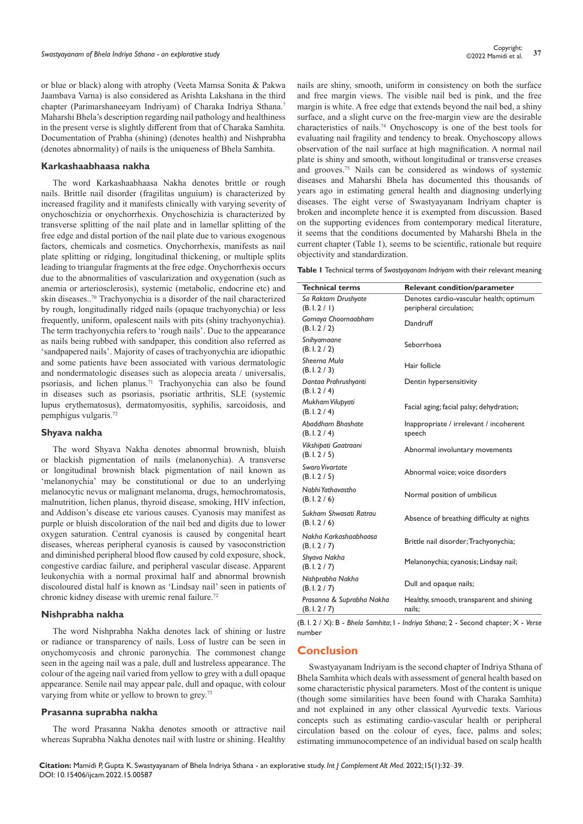or blue or black) along with atrophy (Veeta Mamsa Sonita & Pakwa Jaambava Varna) is also considered as Arishta Lakshana in the third chapter (Parimarshaneeyam Indriyam) of Charaka Indriya Sthana.7 Maharshi Bhela's description regarding nail pathology and healthiness in the present verse is slightly different from that of Charaka Samhita. Documentation of Prabha (shining) (denotes health) and Nishprabha (denotes abnormality) of nails is the uniqueness of Bhela Samhita.

#### **Karkashaabhaasa nakha**

The word Karkashaabhaasa Nakha denotes brittle or rough nails. Brittle nail disorder (fragilitas unguium) is characterized by increased fragility and it manifests clinically with varying severity of onychoschizia or onychorrhexis. Onychoschizia is characterized by transverse splitting of the nail plate and in lamellar splitting of the free edge and distal portion of the nail plate due to various exogenous factors, chemicals and cosmetics. Onychorrhexis, manifests as nail plate splitting or ridging, longitudinal thickening, or multiple splits leading to triangular fragments at the free edge. Onychorrhexis occurs due to the abnormalities of vascularization and oxygenation (such as anemia or arteriosclerosis), systemic (metabolic, endocrine etc) and skin diseases..70 Trachyonychia is a disorder of the nail characterized by rough, longitudinally ridged nails (opaque trachyonychia) or less frequently, uniform, opalescent nails with pits (shiny trachyonychia). The term trachyonychia refers to 'rough nails'. Due to the appearance as nails being rubbed with sandpaper, this condition also referred as 'sandpapered nails'. Majority of cases of trachyonychia are idiopathic and some patients have been associated with various dermatologic and nondermatologic diseases such as alopecia areata / universalis, psoriasis, and lichen planus.<sup>71</sup> Trachyonychia can also be found in diseases such as psoriasis, psoriatic arthritis, SLE (systemic lupus erythematosus), dermatomyositis, syphilis, sarcoidosis, and pemphigus vulgaris.72

#### **Shyava nakha**

The word Shyava Nakha denotes abnormal brownish, bluish or blackish pigmentation of nails (melanonychia). A transverse or longitudinal brownish black pigmentation of nail known as 'melanonychia' may be constitutional or due to an underlying melanocytic nevus or malignant melanoma, drugs, hemochromatosis, malnutrition, lichen planus, thyroid disease, smoking, HIV infection, and Addison's disease etc various causes. Cyanosis may manifest as purple or bluish discoloration of the nail bed and digits due to lower oxygen saturation. Central cyanosis is caused by congenital heart diseases, whereas peripheral cyanosis is caused by vasoconstriction and diminished peripheral blood flow caused by cold exposure, shock, congestive cardiac failure, and peripheral vascular disease. Apparent leukonychia with a normal proximal half and abnormal brownish discoloured distal half is known as 'Lindsay nail' seen in patients of chronic kidney disease with uremic renal failure.<sup>72</sup>

#### **Nishprabha nakha**

The word Nishprabha Nakha denotes lack of shining or lustre or radiance or transparency of nails. Loss of lustre can be seen in onychomycosis and chronic paronychia. The commonest change seen in the ageing nail was a pale, dull and lustreless appearance. The colour of the ageing nail varied from yellow to grey with a dull opaque appearance. Senile nail may appear pale, dull and opaque, with colour varying from white or yellow to brown to grey.<sup>73</sup>

#### **Prasanna suprabha nakha**

The word Prasanna Nakha denotes smooth or attractive nail whereas Suprabha Nakha denotes nail with lustre or shining. Healthy nails are shiny, smooth, uniform in consistency on both the surface and free margin views. The visible nail bed is pink, and the free margin is white. A free edge that extends beyond the nail bed, a shiny surface, and a slight curve on the free-margin view are the desirable characteristics of nails.74 Onychoscopy is one of the best tools for evaluating nail fragility and tendency to break. Onychoscopy allows observation of the nail surface at high magnification. A normal nail plate is shiny and smooth, without longitudinal or transverse creases and grooves.75 Nails can be considered as windows of systemic diseases and Maharshi Bhela has documented this thousands of years ago in estimating general health and diagnosing underlying diseases. The eight verse of Swastyayanam Indriyam chapter is broken and incomplete hence it is exempted from discussion. Based on the supporting evidences from contemporary medical literature, it seems that the conditions documented by Maharshi Bhela in the current chapter (Table 1), seems to be scientific, rationale but require objectivity and standardization.

**Table 1** Technical terms of *Swastyayanam Indriyam* with their relevant meaning

| <b>Technical terms</b>                   | <b>Relevant condition/parameter</b>                                |
|------------------------------------------|--------------------------------------------------------------------|
| Sa Raktam Drushyate<br>(B, I, 2 / I)     | Denotes cardio-vascular health; optimum<br>peripheral circulation; |
| Gomaya Choornaabham<br>(B. I. 2 / 2)     | Dandruff                                                           |
| Snihyamaane<br>(B.1.2/2)                 | Seborrhoea                                                         |
| Sheerna Mula<br>(B.1.2/3)                | Hair follicle                                                      |
| Dantaa Prahrushyanti<br>(B. I. 2 / 4)    | Dentin hypersensitivity                                            |
| Mukham Vilupyati<br>(B.1.2/4)            | Facial aging; facial palsy; dehydration;                           |
| Abaddham Bhashate<br>(B.1.2/4)           | Inappropriate / irrelevant / incoherent<br>speech                  |
| Vikshipati Gaatraani<br>(B.1.2 / 5)      | Abnormal involuntary movements                                     |
| Swaro Vivartate<br>(B.1.2 / 5)           | Abnormal voice; voice disorders                                    |
| Nabhi Yathavastho<br>(B.1.2/6)           | Normal position of umbilicus                                       |
| Sukham Shwasati Ratrau<br>(B.1.2/6)      | Absence of breathing difficulty at nights                          |
| Nakha Karkashaabhaasa<br>(B.1.2 / 7)     | Brittle nail disorder; Trachyonychia;                              |
| Shyava Nakha<br>(B.1.2 / 7)              | Melanonychia; cyanosis; Lindsay nail;                              |
| Nishprabha Nakha<br>(B.1.2 / 7)          | Dull and opaque nails;                                             |
| Prasanna & Suprabha Nakha<br>(B.1.2 / 7) | Healthy, smooth, transparent and shining<br>nails:                 |

(B. I. 2 / X): B - *Bhela Samhita*; I - *Indriya Sthana*; 2 - Second chapter; X - *Verse* number

# **Conclusion**

Swastyayanam Indriyam is the second chapter of Indriya Sthana of Bhela Samhita which deals with assessment of general health based on some characteristic physical parameters. Most of the content is unique (though some similarities have been found with Charaka Samhita) and not explained in any other classical Ayurvedic texts. Various concepts such as estimating cardio-vascular health or peripheral circulation based on the colour of eyes, face, palms and soles; estimating immunocompetence of an individual based on scalp health

**Citation:** Mamidi P, Gupta K. Swastyayanam of Bhela Indriya Sthana - an explorative study. *Int J Complement Alt Med.* 2022;15(1):32‒39. DOI: [10.15406/ijcam.2022.15.00587](https://doi.org/10.15406/ijcam.2022.15.00587)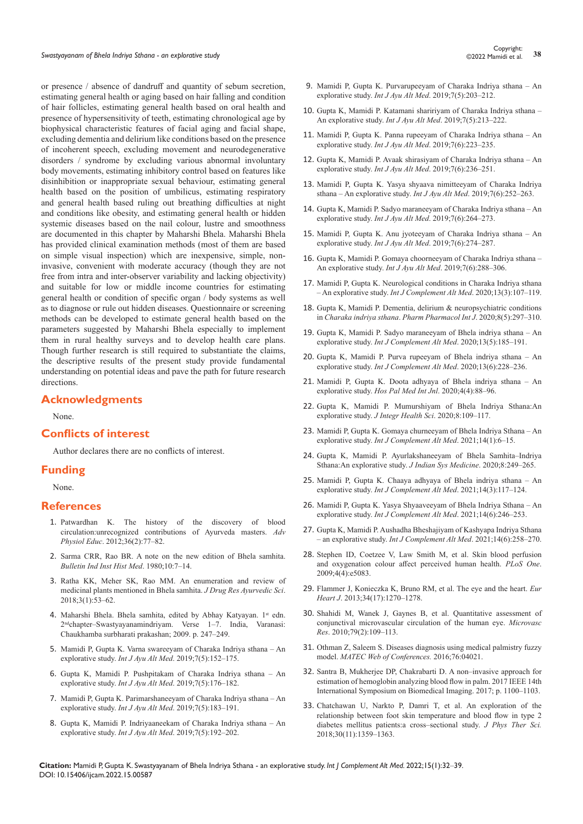or presence / absence of dandruff and quantity of sebum secretion, estimating general health or aging based on hair falling and condition of hair follicles, estimating general health based on oral health and presence of hypersensitivity of teeth, estimating chronological age by biophysical characteristic features of facial aging and facial shape, excluding dementia and delirium like conditions based on the presence of incoherent speech, excluding movement and neurodegenerative disorders / syndrome by excluding various abnormal involuntary body movements, estimating inhibitory control based on features like disinhibition or inappropriate sexual behaviour, estimating general health based on the position of umbilicus, estimating respiratory and general health based ruling out breathing difficulties at night and conditions like obesity, and estimating general health or hidden systemic diseases based on the nail colour, lustre and smoothness are documented in this chapter by Maharshi Bhela. Maharshi Bhela has provided clinical examination methods (most of them are based on simple visual inspection) which are inexpensive, simple, noninvasive, convenient with moderate accuracy (though they are not free from intra and inter-observer variability and lacking objectivity) and suitable for low or middle income countries for estimating general health or condition of specific organ / body systems as well as to diagnose or rule out hidden diseases. Questionnaire or screening methods can be developed to estimate general health based on the parameters suggested by Maharshi Bhela especially to implement them in rural healthy surveys and to develop health care plans. Though further research is still required to substantiate the claims, the descriptive results of the present study provide fundamental understanding on potential ideas and pave the path for future research directions.

## **Acknowledgments**

None.

## **Conflicts of interest**

Author declares there are no conflicts of interest.

## **Funding**

None.

#### **References**

- 1. [Patwardhan K. The history of the discovery of blood](https://pubmed.ncbi.nlm.nih.gov/22665419/)  [circulation:unrecognized contributions of Ayurveda masters.](https://pubmed.ncbi.nlm.nih.gov/22665419/) *Adv Physiol Educ*[. 2012;36\(2\):77–82.](https://pubmed.ncbi.nlm.nih.gov/22665419/)
- 2. [Sarma CRR, Rao BR. A note on the new edition of Bhela samhita.](https://pubmed.ncbi.nlm.nih.gov/11613682/)  *[Bulletin Ind Inst Hist Med](https://pubmed.ncbi.nlm.nih.gov/11613682/)*. 1980;10:7–14.
- 3. [Ratha KK, Meher SK, Rao MM. An enumeration and review of](https://ortholibrary.in/doi/JDRAS/pdf/10.5005/jp-journals-10059-0036)  [medicinal plants mentioned in Bhela samhita.](https://ortholibrary.in/doi/JDRAS/pdf/10.5005/jp-journals-10059-0036) *J Drug Res Ayurvedic Sci*. [2018;3\(1\):53–62.](https://ortholibrary.in/doi/JDRAS/pdf/10.5005/jp-journals-10059-0036)
- 4. Maharshi Bhela. Bhela samhita, edited by Abhay Katyayan. 1st edn. 2ndchapter–Swastyayanamindriyam. Verse 1–7. India, Varanasi: Chaukhamba surbharati prakashan; 2009. p. 247–249.
- 5. [Mamidi P, Gupta K. Varna swareeyam of Charaka Indriya sthana An](https://www.scribd.com/document/463041031/Varna-swareeyam-of-Charaka-Indriya-Sthana-An-explorative-study)  explorative study. *Int J Ayu Alt Med*[. 2019;7\(5\):152–175.](https://www.scribd.com/document/463041031/Varna-swareeyam-of-Charaka-Indriya-Sthana-An-explorative-study)
- 6. Gupta K, Mamidi P. Pushpitakam of Charaka Indriya sthana An explorative study. *Int J Ayu Alt Med*. 2019;7(5):176–182.
- 7. Mamidi P, Gupta K. Parimarshaneeyam of Charaka Indriya sthana An explorative study. *Int J Ayu Alt Med*. 2019;7(5):183–191.
- 8. Gupta K, Mamidi P. Indriyaaneekam of Charaka Indriya sthana An explorative study. *Int J Ayu Alt Med*. 2019;7(5):192–202.
- 9. Mamidi P, Gupta K. Purvarupeeyam of Charaka Indriya sthana An explorative study. *Int J Ayu Alt Med*. 2019;7(5):203–212.
- 10. Gupta K, Mamidi P. Katamani shaririyam of Charaka Indriya sthana An explorative study. *Int J Ayu Alt Med*. 2019;7(5):213–222.
- 11. Mamidi P, Gupta K. Panna rupeeyam of Charaka Indriya sthana An explorative study. *Int J Ayu Alt Med*. 2019;7(6):223–235.
- 12. Gupta K, Mamidi P. Avaak shirasiyam of Charaka Indriya sthana An explorative study. *Int J Ayu Alt Med*. 2019;7(6):236–251.
- 13. Mamidi P, Gupta K. Yasya shyaava nimitteeyam of Charaka Indriya sthana – An explorative study. *Int J Ayu Alt Med*. 2019;7(6):252–263.
- 14. Gupta K, Mamidi P. Sadyo maraneeyam of Charaka Indriya sthana An explorative study. *Int J Ayu Alt Med*. 2019;7(6):264–273.
- 15. Mamidi P, Gupta K. Anu jyoteeyam of Charaka Indriya sthana An explorative study. *Int J Ayu Alt Med*. 2019;7(6):274–287.
- 16. Gupta K, Mamidi P. Gomaya choorneeyam of Charaka Indriya sthana An explorative study. *Int J Ayu Alt Med*. 2019;7(6):288–306.
- 17. [Mamidi P, Gupta K. Neurological conditions in Charaka Indriya sthana](https://medcraveonline.com/IJCAM/IJCAM-13-00503.pdf)  – An explorative study. *[Int J Complement Alt Med](https://medcraveonline.com/IJCAM/IJCAM-13-00503.pdf)*. 2020;13(3):107–119.
- 18. [Gupta K, Mamidi P. Dementia, delirium & neuropsychiatric conditions](https://medcraveonline.com/PPIJ/PPIJ-08-00309.pdf)  in *[Charaka indriya sthana](https://medcraveonline.com/PPIJ/PPIJ-08-00309.pdf)*. *Pharm Pharmacol Int J*. 2020;8(5):297‒310.
- 19. [Gupta K, Mamidi P. Sadyo maraneeyam of Bhela indriya sthana An](https://medcraveonline.com/IJCAM/IJCAM-13-00514.pdf)  explorative study. *[Int J Complement Alt Med](https://medcraveonline.com/IJCAM/IJCAM-13-00514.pdf).* 2020;13(5):185-191.
- 20. [Gupta K, Mamidi P. Purva rupeeyam of Bhela indriya sthana An](https://medcraveonline.com/IJCAM/IJCAM-13-00521.pdf)  explorative study. *[Int J Complement Alt Med](https://medcraveonline.com/IJCAM/IJCAM-13-00521.pdf)*. 2020;13(6):228-236.
- 21. [Mamidi P, Gupta K. Doota adhyaya of Bhela indriya sthana An](https://medcraveonline.com/HPMIJ/HPMIJ-04-00194.pdf)  explorative study. *[Hos Pal Med Int Jnl](https://medcraveonline.com/HPMIJ/HPMIJ-04-00194.pdf)*. 2020;4(4):88-96.
- 22. Gupta K, Mamidi P. Mumurshiyam of Bhela Indriya Sthana:An explorative study. *J Integr Health Sci*. 2020;8:109–117.
- 23. [Mamidi P, Gupta K. Gomaya churneeyam of Bhela Indriya Sthana An](https://medcraveonline.com/IJCAM/IJCAM-14-00527.pdf)  explorative study. *[Int J Complement Alt Med](https://medcraveonline.com/IJCAM/IJCAM-14-00527.pdf).* 2021;14(1):6-15.
- 24. Gupta K, Mamidi P. Ayurlakshaneeyam of Bhela Samhita–Indriya Sthana:An explorative study. *J Indian Sys Medicine*. 2020;8:249–265.
- 25. [Mamidi P, Gupta K. Chaaya adhyaya of Bhela indriya sthana An](https://medcraveonline.com/IJCAM/IJCAM-14-00544.pdf)  explorative study. *[Int J Complement Alt Med](https://medcraveonline.com/IJCAM/IJCAM-14-00544.pdf).* 2021;14(3):117-124.
- 26. [Mamidi P, Gupta K. Yasya Shyaaveeyam of Bhela Indriya Sthana An](https://medcraveonline.com/IJCAM/IJCAM-14-00569.pdf)  explorative study. *[Int J Complement Alt Med](https://medcraveonline.com/IJCAM/IJCAM-14-00569.pdf).* 2021;14(6):246-253.
- 27. [Gupta K, Mamidi P. Aushadha Bheshajiyam of Kashyapa Indriya Sthana](https://medcraveonline.com/IJCAM/IJCAM-14-00571.pdf)  – an explorative study. *[Int J Complement Alt Med](https://medcraveonline.com/IJCAM/IJCAM-14-00571.pdf).* 2021;14(6):258–270.
- 28. [Stephen ID, Coetzee V, Law Smith M, et al. Skin blood perfusion](https://pubmed.ncbi.nlm.nih.gov/19337378/)  [and oxygenation colour affect perceived human health.](https://pubmed.ncbi.nlm.nih.gov/19337378/) *PLoS One*. [2009;4\(4\):e5083.](https://pubmed.ncbi.nlm.nih.gov/19337378/)
- 29. [Flammer J, Konieczka K, Bruno RM, et al. The eye and the heart.](https://pubmed.ncbi.nlm.nih.gov/23401492/) *Eur Heart J*[. 2013;34\(17\):1270–1278.](https://pubmed.ncbi.nlm.nih.gov/23401492/)
- 30. [Shahidi M, Wanek J, Gaynes B, et al. Quantitative assessment of](https://pubmed.ncbi.nlm.nih.gov/20053367/)  [conjunctival microvascular circulation of the human eye.](https://pubmed.ncbi.nlm.nih.gov/20053367/) *Microvasc Res*[. 2010;79\(2\):109–113.](https://pubmed.ncbi.nlm.nih.gov/20053367/)
- 31. [Othman Z, Saleem S. Diseases diagnosis using medical palmistry fuzzy](https://www.matec-conferences.org/articles/matecconf/abs/2016/39/matecconf_cscc2016_04021/matecconf_cscc2016_04021.html)  model. *[MATEC Web of Conferences.](https://www.matec-conferences.org/articles/matecconf/abs/2016/39/matecconf_cscc2016_04021/matecconf_cscc2016_04021.html)* 2016;76:04021.
- 32. [Santra B, Mukherjee DP, Chakrabarti D. A non–invasive approach for](https://ieeexplore.ieee.org/document/7950708)  [estimation of hemoglobin analyzing blood flow in palm.](https://ieeexplore.ieee.org/document/7950708) 2017 IEEE 14th [International Symposium on Biomedical Imaging. 2017; p. 1100–1103.](https://ieeexplore.ieee.org/document/7950708)
- 33. [Chatchawan U, Narkto P, Damri T, et al. An exploration of the](https://pubmed.ncbi.nlm.nih.gov/30464365/)  [relationship between foot skin temperature and blood flow in type 2](https://pubmed.ncbi.nlm.nih.gov/30464365/)  [diabetes mellitus patients:a cross–sectional study.](https://pubmed.ncbi.nlm.nih.gov/30464365/) *J Phys Ther Sci.* [2018;30\(11\):1359–1363.](https://pubmed.ncbi.nlm.nih.gov/30464365/)

**Citation:** Mamidi P, Gupta K. Swastyayanam of Bhela Indriya Sthana - an explorative study. *Int J Complement Alt Med.* 2022;15(1):32‒39. DOI: [10.15406/ijcam.2022.15.00587](https://doi.org/10.15406/ijcam.2022.15.00587)